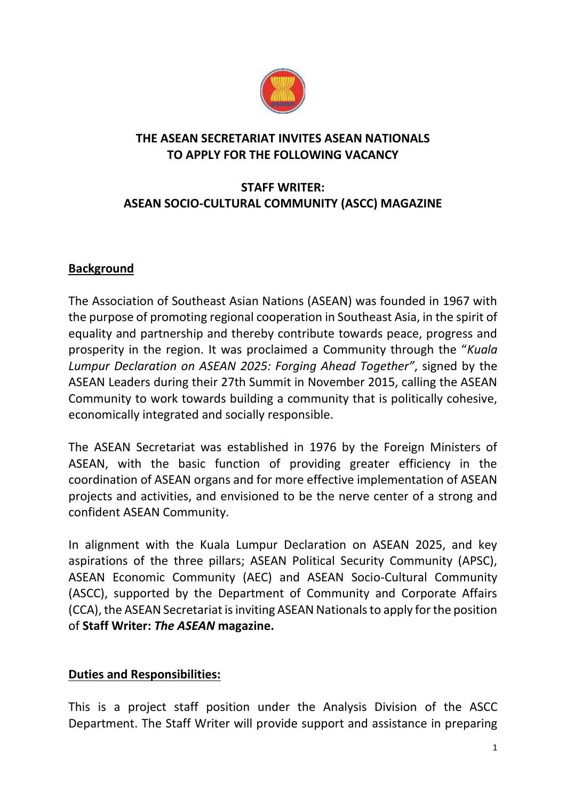

## **THE ASEAN SECRETARIAT INVITES ASEAN NATIONALS TO APPLY FOR THE FOLLOWING VACANCY**

# **STAFF WRITER: ASEAN SOCIO-CULTURAL COMMUNITY (ASCC) MAGAZINE**

# **Background**

The Association of Southeast Asian Nations (ASEAN) was founded in 1967 with the purpose of promoting regional cooperation in Southeast Asia, in the spirit of equality and partnership and thereby contribute towards peace, progress and prosperity in the region. It was proclaimed a Community through the "*Kuala Lumpur Declaration on ASEAN 2025: Forging Ahead Together"*, signed by the ASEAN Leaders during their 27th Summit in November 2015, calling the ASEAN Community to work towards building a community that is politically cohesive, economically integrated and socially responsible.

The ASEAN Secretariat was established in 1976 by the Foreign Ministers of ASEAN, with the basic function of providing greater efficiency in the coordination of ASEAN organs and for more effective implementation of ASEAN projects and activities, and envisioned to be the nerve center of a strong and confident ASEAN Community.

In alignment with the Kuala Lumpur Declaration on ASEAN 2025, and key aspirations of the three pillars; ASEAN Political Security Community (APSC), ASEAN Economic Community (AEC) and ASEAN Socio-Cultural Community (ASCC), supported by the Department of Community and Corporate Affairs (CCA), the ASEAN Secretariat is inviting ASEAN Nationals to apply for the position of **Staff Writer:** *The ASEAN* **magazine.**

# **Duties and Responsibilities:**

This is a project staff position under the Analysis Division of the ASCC Department. The Staff Writer will provide support and assistance in preparing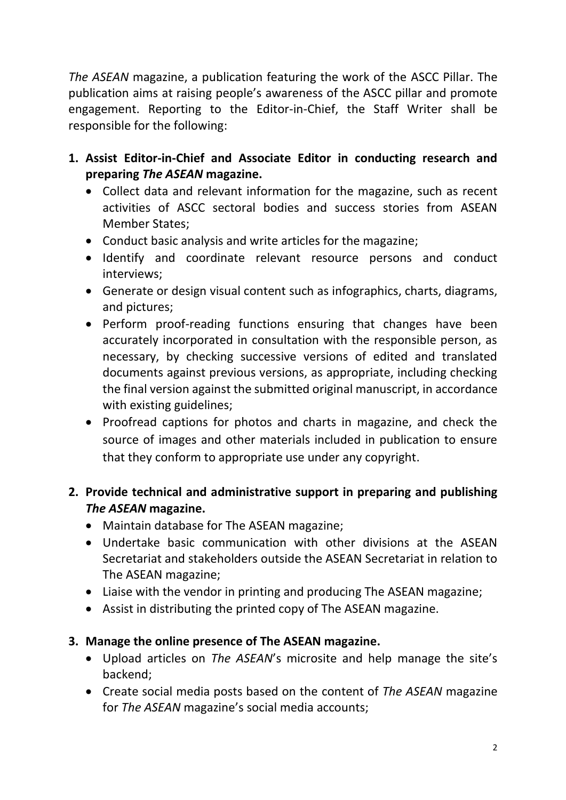*The ASEAN* magazine, a publication featuring the work of the ASCC Pillar. The publication aims at raising people's awareness of the ASCC pillar and promote engagement. Reporting to the Editor-in-Chief, the Staff Writer shall be responsible for the following:

- **1. Assist Editor-in-Chief and Associate Editor in conducting research and preparing** *The ASEAN* **magazine.**
	- Collect data and relevant information for the magazine, such as recent activities of ASCC sectoral bodies and success stories from ASEAN Member States;
	- Conduct basic analysis and write articles for the magazine;
	- Identify and coordinate relevant resource persons and conduct interviews;
	- Generate or design visual content such as infographics, charts, diagrams, and pictures;
	- Perform proof-reading functions ensuring that changes have been accurately incorporated in consultation with the responsible person, as necessary, by checking successive versions of edited and translated documents against previous versions, as appropriate, including checking the final version against the submitted original manuscript, in accordance with existing guidelines;
	- Proofread captions for photos and charts in magazine, and check the source of images and other materials included in publication to ensure that they conform to appropriate use under any copyright.

# **2. Provide technical and administrative support in preparing and publishing**  *The ASEAN* **magazine.**

- Maintain database for The ASEAN magazine;
- Undertake basic communication with other divisions at the ASEAN Secretariat and stakeholders outside the ASEAN Secretariat in relation to The ASEAN magazine;
- Liaise with the vendor in printing and producing The ASEAN magazine;
- Assist in distributing the printed copy of The ASEAN magazine.

# **3. Manage the online presence of The ASEAN magazine.**

- Upload articles on *The ASEAN*'s microsite and help manage the site's backend;
- Create social media posts based on the content of *The ASEAN* magazine for *The ASEAN* magazine's social media accounts;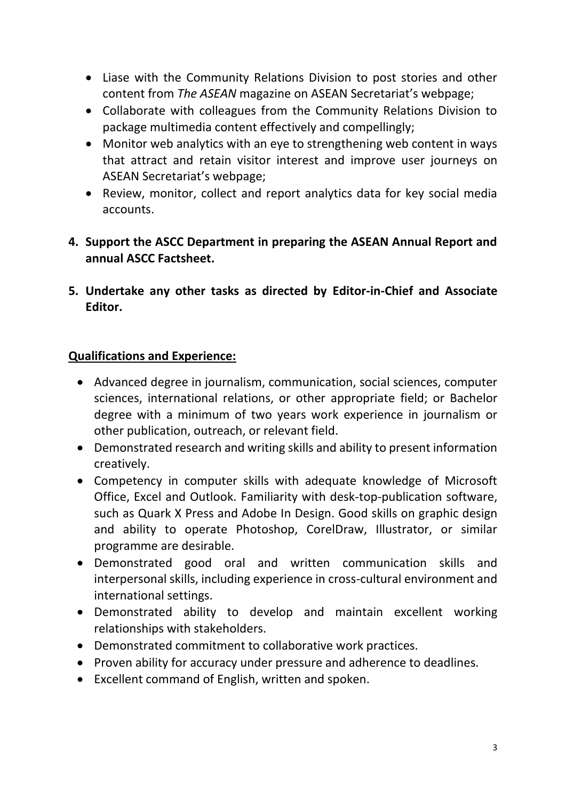- Liase with the Community Relations Division to post stories and other content from *The ASEAN* magazine on ASEAN Secretariat's webpage;
- Collaborate with colleagues from the Community Relations Division to package multimedia content effectively and compellingly;
- Monitor web analytics with an eye to strengthening web content in ways that attract and retain visitor interest and improve user journeys on ASEAN Secretariat's webpage;
- Review, monitor, collect and report analytics data for key social media accounts.
- **4. Support the ASCC Department in preparing the ASEAN Annual Report and annual ASCC Factsheet.**
- **5. Undertake any other tasks as directed by Editor-in-Chief and Associate Editor.**

## **Qualifications and Experience:**

- Advanced degree in journalism, communication, social sciences, computer sciences, international relations, or other appropriate field; or Bachelor degree with a minimum of two years work experience in journalism or other publication, outreach, or relevant field.
- Demonstrated research and writing skills and ability to present information creatively.
- Competency in computer skills with adequate knowledge of Microsoft Office, Excel and Outlook. Familiarity with desk-top-publication software, such as Quark X Press and Adobe In Design. Good skills on graphic design and ability to operate Photoshop, CorelDraw, Illustrator, or similar programme are desirable.
- Demonstrated good oral and written communication skills and interpersonal skills, including experience in cross-cultural environment and international settings.
- Demonstrated ability to develop and maintain excellent working relationships with stakeholders.
- Demonstrated commitment to collaborative work practices.
- Proven ability for accuracy under pressure and adherence to deadlines.
- Excellent command of English, written and spoken.